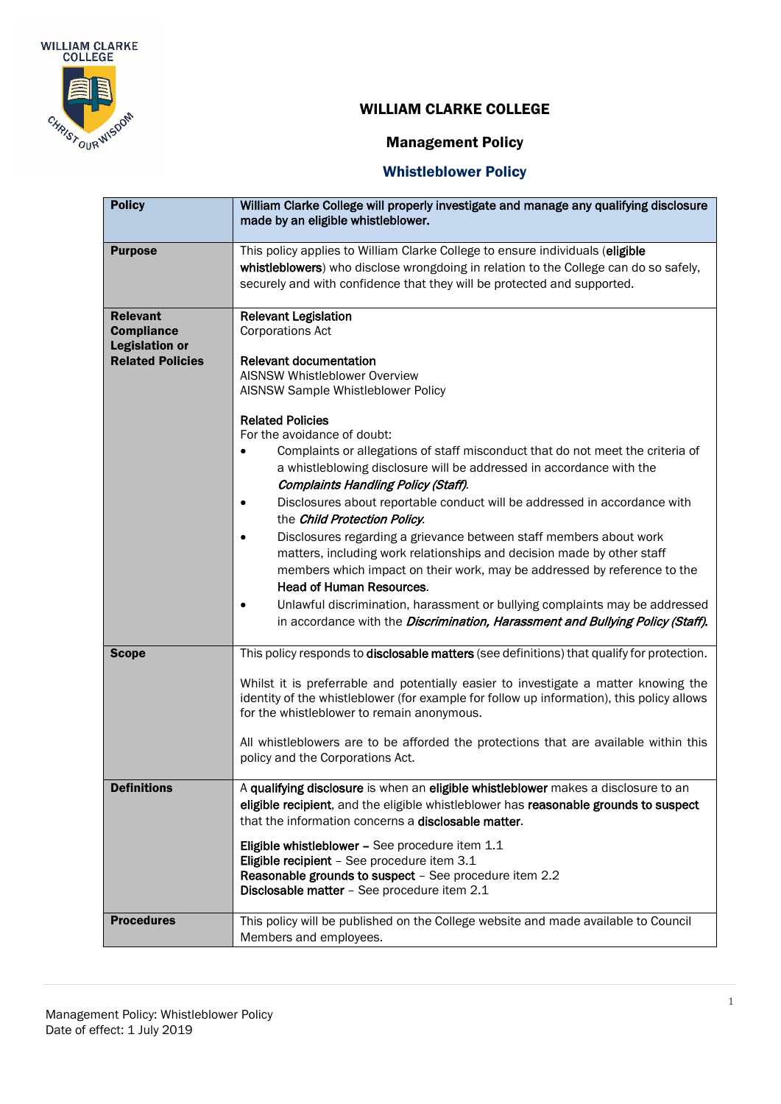

# Management Policy

| <b>Policy</b>                                                                            | William Clarke College will properly investigate and manage any qualifying disclosure<br>made by an eligible whistleblower.                                                                                                                                                                                                                                                                                                                                                                                                                                                                                                                                                                                                                                                                                                                                                                                                                                                                  |
|------------------------------------------------------------------------------------------|----------------------------------------------------------------------------------------------------------------------------------------------------------------------------------------------------------------------------------------------------------------------------------------------------------------------------------------------------------------------------------------------------------------------------------------------------------------------------------------------------------------------------------------------------------------------------------------------------------------------------------------------------------------------------------------------------------------------------------------------------------------------------------------------------------------------------------------------------------------------------------------------------------------------------------------------------------------------------------------------|
| <b>Purpose</b>                                                                           | This policy applies to William Clarke College to ensure individuals (eligible<br>whistleblowers) who disclose wrongdoing in relation to the College can do so safely,<br>securely and with confidence that they will be protected and supported.                                                                                                                                                                                                                                                                                                                                                                                                                                                                                                                                                                                                                                                                                                                                             |
| <b>Relevant</b><br><b>Compliance</b><br><b>Legislation or</b><br><b>Related Policies</b> | <b>Relevant Legislation</b><br><b>Corporations Act</b><br><b>Relevant documentation</b><br><b>AISNSW Whistleblower Overview</b><br>AISNSW Sample Whistleblower Policy<br><b>Related Policies</b><br>For the avoidance of doubt:<br>Complaints or allegations of staff misconduct that do not meet the criteria of<br>a whistleblowing disclosure will be addressed in accordance with the<br><b>Complaints Handling Policy (Staff).</b><br>Disclosures about reportable conduct will be addressed in accordance with<br>the Child Protection Policy.<br>Disclosures regarding a grievance between staff members about work<br>matters, including work relationships and decision made by other staff<br>members which impact on their work, may be addressed by reference to the<br><b>Head of Human Resources.</b><br>Unlawful discrimination, harassment or bullying complaints may be addressed<br>in accordance with the <i>Discrimination, Harassment and Bullying Policy (Staff)</i> . |
| <b>Scope</b>                                                                             | This policy responds to disclosable matters (see definitions) that qualify for protection.<br>Whilst it is preferrable and potentially easier to investigate a matter knowing the<br>identity of the whistleblower (for example for follow up information), this policy allows<br>for the whistleblower to remain anonymous.<br>All whistleblowers are to be afforded the protections that are available within this<br>policy and the Corporations Act.                                                                                                                                                                                                                                                                                                                                                                                                                                                                                                                                     |
| <b>Definitions</b>                                                                       | A qualifying disclosure is when an eligible whistleblower makes a disclosure to an<br>eligible recipient, and the eligible whistleblower has reasonable grounds to suspect<br>that the information concerns a <b>disclosable matter</b> .<br>Eligible whistleblower - See procedure item 1.1<br>Eligible recipient - See procedure item 3.1<br>Reasonable grounds to suspect - See procedure item 2.2<br>Disclosable matter - See procedure item 2.1                                                                                                                                                                                                                                                                                                                                                                                                                                                                                                                                         |
| <b>Procedures</b>                                                                        | This policy will be published on the College website and made available to Council<br>Members and employees.                                                                                                                                                                                                                                                                                                                                                                                                                                                                                                                                                                                                                                                                                                                                                                                                                                                                                 |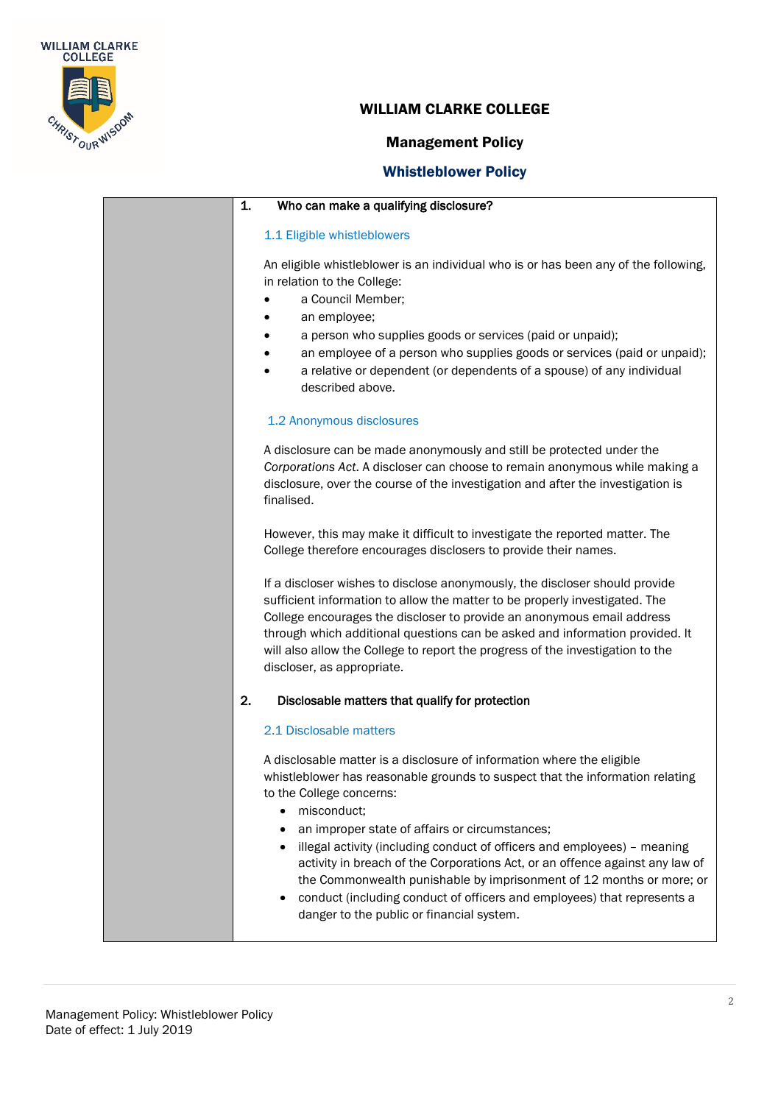

#### Management Policy

| 1.<br>Who can make a qualifying disclosure?                                                                                                                                                                                                                                                                                                                                                                                                                                                                                                                                                                                   |
|-------------------------------------------------------------------------------------------------------------------------------------------------------------------------------------------------------------------------------------------------------------------------------------------------------------------------------------------------------------------------------------------------------------------------------------------------------------------------------------------------------------------------------------------------------------------------------------------------------------------------------|
| 1.1 Eligible whistleblowers                                                                                                                                                                                                                                                                                                                                                                                                                                                                                                                                                                                                   |
| An eligible whistleblower is an individual who is or has been any of the following,<br>in relation to the College:<br>a Council Member;<br>an employee;<br>a person who supplies goods or services (paid or unpaid);<br>an employee of a person who supplies goods or services (paid or unpaid);<br>a relative or dependent (or dependents of a spouse) of any individual<br>described above.                                                                                                                                                                                                                                 |
| 1.2 Anonymous disclosures                                                                                                                                                                                                                                                                                                                                                                                                                                                                                                                                                                                                     |
| A disclosure can be made anonymously and still be protected under the<br>Corporations Act. A discloser can choose to remain anonymous while making a<br>disclosure, over the course of the investigation and after the investigation is<br>finalised.                                                                                                                                                                                                                                                                                                                                                                         |
| However, this may make it difficult to investigate the reported matter. The<br>College therefore encourages disclosers to provide their names.                                                                                                                                                                                                                                                                                                                                                                                                                                                                                |
| If a discloser wishes to disclose anonymously, the discloser should provide<br>sufficient information to allow the matter to be properly investigated. The<br>College encourages the discloser to provide an anonymous email address<br>through which additional questions can be asked and information provided. It<br>will also allow the College to report the progress of the investigation to the<br>discloser, as appropriate.                                                                                                                                                                                          |
| 2.<br>Disclosable matters that qualify for protection                                                                                                                                                                                                                                                                                                                                                                                                                                                                                                                                                                         |
| 2.1 Disclosable matters                                                                                                                                                                                                                                                                                                                                                                                                                                                                                                                                                                                                       |
| A disclosable matter is a disclosure of information where the eligible<br>whistleblower has reasonable grounds to suspect that the information relating<br>to the College concerns:<br>misconduct;<br>an improper state of affairs or circumstances;<br>illegal activity (including conduct of officers and employees) - meaning<br>$\bullet$<br>activity in breach of the Corporations Act, or an offence against any law of<br>the Commonwealth punishable by imprisonment of 12 months or more; or<br>conduct (including conduct of officers and employees) that represents a<br>danger to the public or financial system. |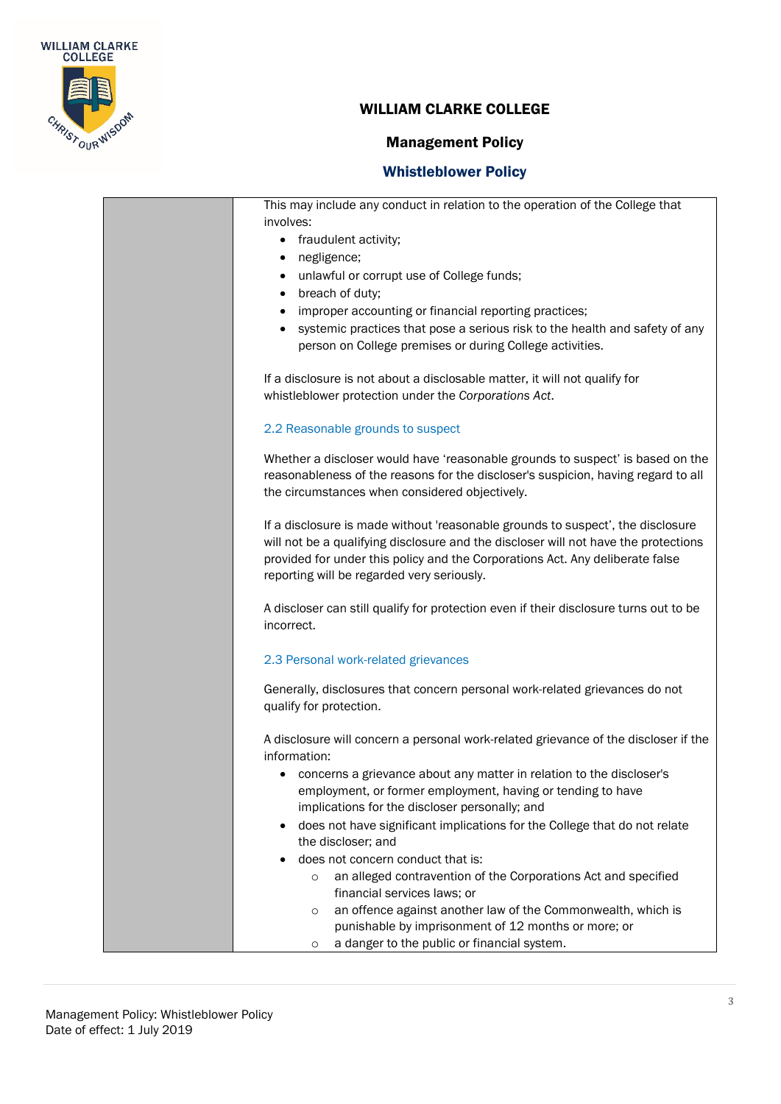

## Management Policy

| This may include any conduct in relation to the operation of the College that<br>involves:<br>fraudulent activity;<br>$\bullet$<br>negligence;<br>٠<br>unlawful or corrupt use of College funds;<br>$\bullet$                                                                                         |
|-------------------------------------------------------------------------------------------------------------------------------------------------------------------------------------------------------------------------------------------------------------------------------------------------------|
| breach of duty;<br>$\bullet$                                                                                                                                                                                                                                                                          |
| improper accounting or financial reporting practices;<br>٠<br>systemic practices that pose a serious risk to the health and safety of any<br>person on College premises or during College activities.                                                                                                 |
| If a disclosure is not about a disclosable matter, it will not qualify for<br>whistleblower protection under the Corporations Act.                                                                                                                                                                    |
| 2.2 Reasonable grounds to suspect                                                                                                                                                                                                                                                                     |
| Whether a discloser would have 'reasonable grounds to suspect' is based on the<br>reasonableness of the reasons for the discloser's suspicion, having regard to all<br>the circumstances when considered objectively.                                                                                 |
| If a disclosure is made without 'reasonable grounds to suspect', the disclosure<br>will not be a qualifying disclosure and the discloser will not have the protections<br>provided for under this policy and the Corporations Act. Any deliberate false<br>reporting will be regarded very seriously. |
| A discloser can still qualify for protection even if their disclosure turns out to be<br>incorrect.                                                                                                                                                                                                   |
| 2.3 Personal work-related grievances                                                                                                                                                                                                                                                                  |
| Generally, disclosures that concern personal work-related grievances do not<br>qualify for protection.                                                                                                                                                                                                |
| A disclosure will concern a personal work-related grievance of the discloser if the<br>information:                                                                                                                                                                                                   |
| concerns a grievance about any matter in relation to the discloser's<br>employment, or former employment, having or tending to have<br>implications for the discloser personally; and                                                                                                                 |
| does not have significant implications for the College that do not relate<br>the discloser; and                                                                                                                                                                                                       |
| does not concern conduct that is:                                                                                                                                                                                                                                                                     |
| an alleged contravention of the Corporations Act and specified<br>$\circ$                                                                                                                                                                                                                             |
| financial services laws; or<br>an offence against another law of the Commonwealth, which is<br>$\circ$                                                                                                                                                                                                |
| punishable by imprisonment of 12 months or more; or                                                                                                                                                                                                                                                   |
| a danger to the public or financial system.<br>O                                                                                                                                                                                                                                                      |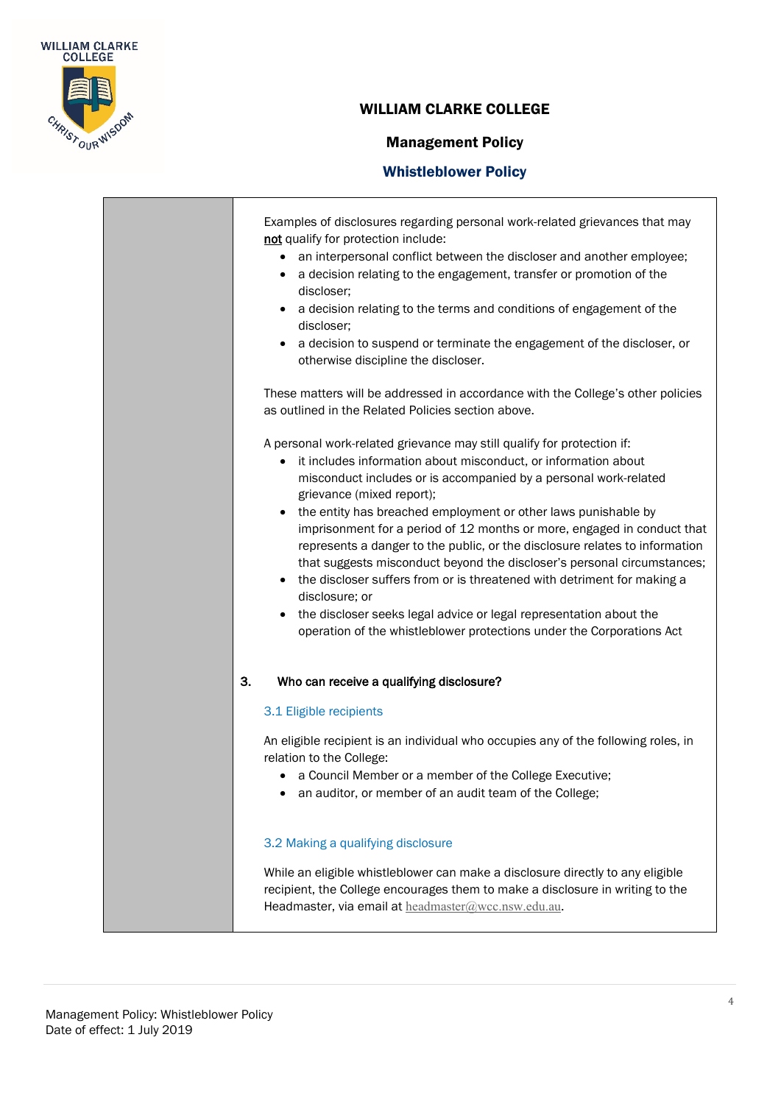

٦

### WILLIAM CLARKE COLLEGE

## Management Policy

| Examples of disclosures regarding personal work-related grievances that may<br>not qualify for protection include:<br>an interpersonal conflict between the discloser and another employee;<br>a decision relating to the engagement, transfer or promotion of the<br>discloser;<br>a decision relating to the terms and conditions of engagement of the<br>discloser;<br>a decision to suspend or terminate the engagement of the discloser, or<br>otherwise discipline the discloser.<br>These matters will be addressed in accordance with the College's other policies<br>as outlined in the Related Policies section above.<br>A personal work-related grievance may still qualify for protection if:<br>it includes information about misconduct, or information about<br>$\bullet$<br>misconduct includes or is accompanied by a personal work-related<br>grievance (mixed report);<br>the entity has breached employment or other laws punishable by<br>imprisonment for a period of 12 months or more, engaged in conduct that<br>represents a danger to the public, or the disclosure relates to information<br>that suggests misconduct beyond the discloser's personal circumstances;<br>the discloser suffers from or is threatened with detriment for making a<br>disclosure; or<br>the discloser seeks legal advice or legal representation about the<br>$\bullet$<br>operation of the whistleblower protections under the Corporations Act |
|------------------------------------------------------------------------------------------------------------------------------------------------------------------------------------------------------------------------------------------------------------------------------------------------------------------------------------------------------------------------------------------------------------------------------------------------------------------------------------------------------------------------------------------------------------------------------------------------------------------------------------------------------------------------------------------------------------------------------------------------------------------------------------------------------------------------------------------------------------------------------------------------------------------------------------------------------------------------------------------------------------------------------------------------------------------------------------------------------------------------------------------------------------------------------------------------------------------------------------------------------------------------------------------------------------------------------------------------------------------------------------------------------------------------------------------------------------|
| 3.<br>Who can receive a qualifying disclosure?                                                                                                                                                                                                                                                                                                                                                                                                                                                                                                                                                                                                                                                                                                                                                                                                                                                                                                                                                                                                                                                                                                                                                                                                                                                                                                                                                                                                             |
| 3.1 Eligible recipients<br>An eligible recipient is an individual who occupies any of the following roles, in<br>relation to the College:<br>a Council Member or a member of the College Executive;<br>an auditor, or member of an audit team of the College;                                                                                                                                                                                                                                                                                                                                                                                                                                                                                                                                                                                                                                                                                                                                                                                                                                                                                                                                                                                                                                                                                                                                                                                              |
| 3.2 Making a qualifying disclosure<br>While an eligible whistleblower can make a disclosure directly to any eligible<br>recipient, the College encourages them to make a disclosure in writing to the<br>Headmaster, via email at headmaster@wcc.nsw.edu.au.                                                                                                                                                                                                                                                                                                                                                                                                                                                                                                                                                                                                                                                                                                                                                                                                                                                                                                                                                                                                                                                                                                                                                                                               |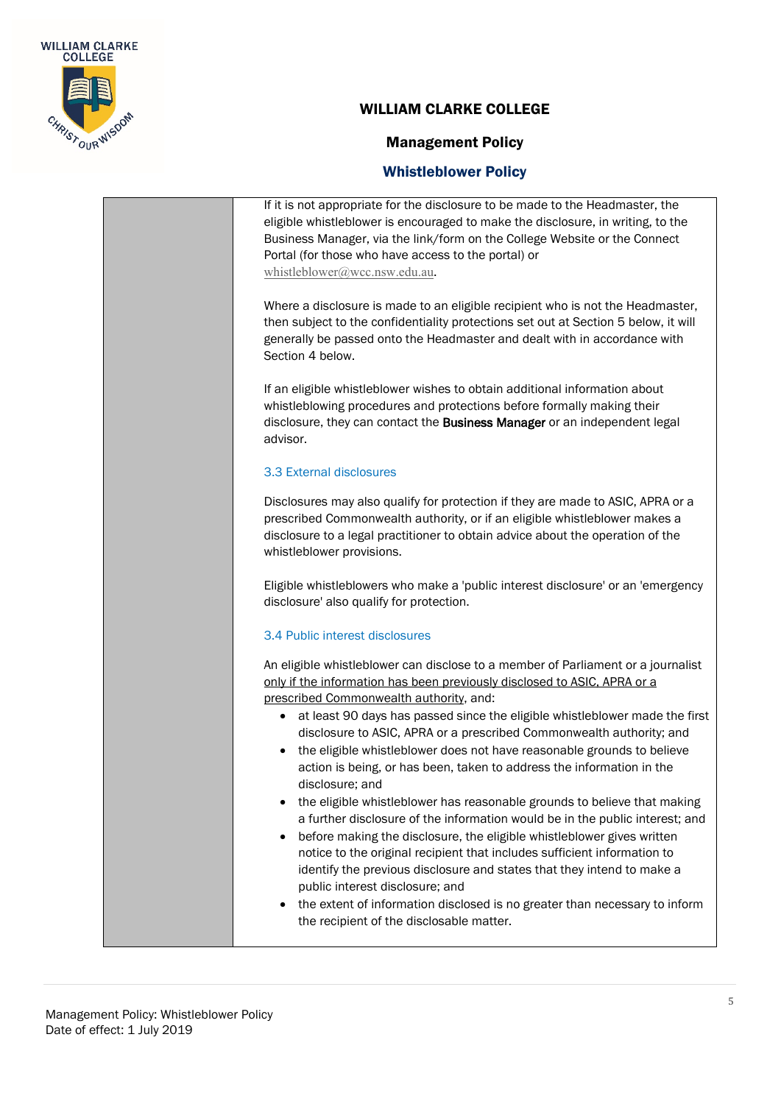

#### Management Policy

#### Whistleblower Policy

If it is not appropriate for the disclosure to be made to the Headmaster, the eligible whistleblower is encouraged to make the disclosure, in writing, to the Business Manager, via the link/form on the College Website or the Connect Portal (for those who have access to the portal) or [whistleblower@wcc.nsw.edu.au](mailto:whistleblower@wcc.nsw.edu.au).

Where a disclosure is made to an eligible recipient who is not the Headmaster, then subject to the confidentiality protections set out at Section 5 below, it will generally be passed onto the Headmaster and dealt with in accordance with Section 4 below.

If an eligible whistleblower wishes to obtain additional information about whistleblowing procedures and protections before formally making their disclosure, they can contact the Business Manager or an independent legal advisor.

#### 3.3 External disclosures

Disclosures may also qualify for protection if they are made to ASIC, APRA or a prescribed Commonwealth authority, or if an eligible whistleblower makes a disclosure to a legal practitioner to obtain advice about the operation of the whistleblower provisions.

Eligible whistleblowers who make a 'public interest disclosure' or an 'emergency disclosure' also qualify for protection.

#### 3.4 Public interest disclosures

An eligible whistleblower can disclose to a member of Parliament or a journalist only if the information has been previously disclosed to ASIC, APRA or a prescribed Commonwealth authority, and:

- at least 90 days has passed since the eligible whistleblower made the first disclosure to ASIC, APRA or a prescribed Commonwealth authority; and
- the eligible whistleblower does not have reasonable grounds to believe action is being, or has been, taken to address the information in the disclosure; and
- the eligible whistleblower has reasonable grounds to believe that making a further disclosure of the information would be in the public interest; and
- before making the disclosure, the eligible whistleblower gives written notice to the original recipient that includes sufficient information to identify the previous disclosure and states that they intend to make a public interest disclosure; and
- the extent of information disclosed is no greater than necessary to inform the recipient of the disclosable matter.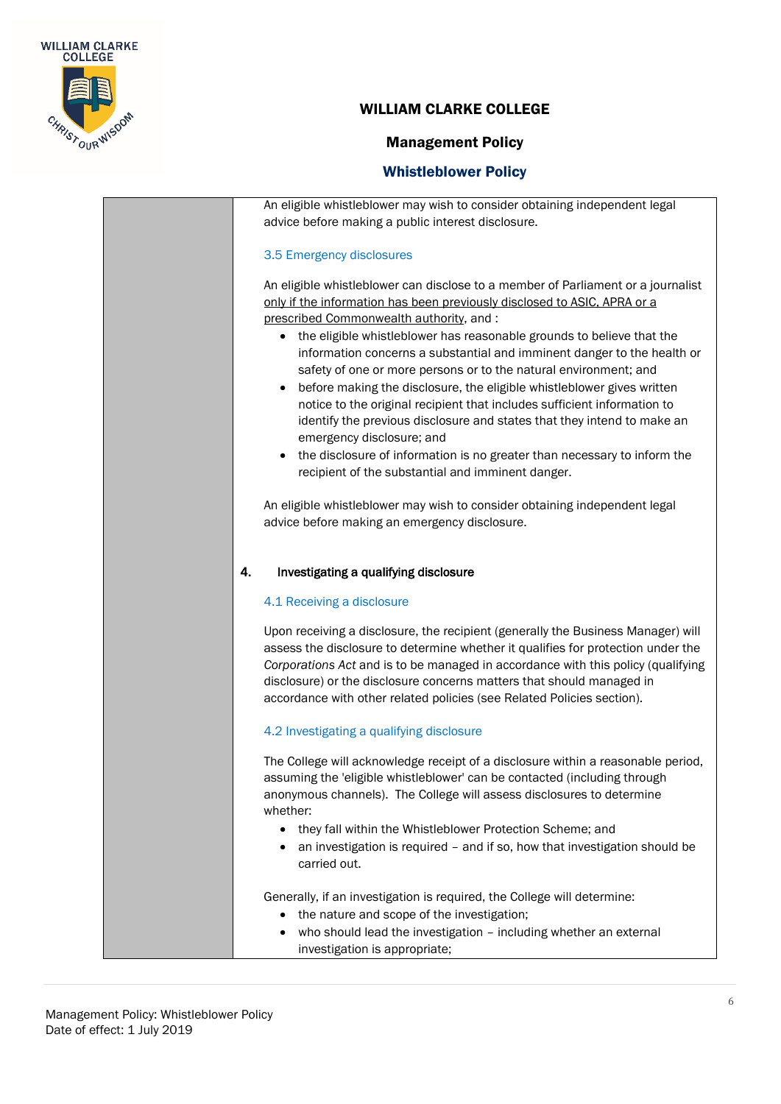

#### Management Policy

#### Whistleblower Policy

An eligible whistleblower may wish to consider obtaining independent legal advice before making a public interest disclosure. 3.5 Emergency disclosures An eligible whistleblower can disclose to a member of Parliament or a journalist only if the information has been previously disclosed to ASIC, APRA or a prescribed Commonwealth authority, and : • the eligible whistleblower has reasonable grounds to believe that the information concerns a substantial and imminent danger to the health or safety of one or more persons or to the natural environment; and • before making the disclosure, the eligible whistleblower gives written notice to the original recipient that includes sufficient information to identify the previous disclosure and states that they intend to make an emergency disclosure; and • the disclosure of information is no greater than necessary to inform the recipient of the substantial and imminent danger. An eligible whistleblower may wish to consider obtaining independent legal advice before making an emergency disclosure. 4. Investigating a qualifying disclosure 4.1 Receiving a disclosure Upon receiving a disclosure, the recipient (generally the Business Manager) will assess the disclosure to determine whether it qualifies for protection under the *Corporations Act* and is to be managed in accordance with this policy (qualifying disclosure) or the disclosure concerns matters that should managed in accordance with other related policies (see Related Policies section). 4.2 Investigating a qualifying disclosure The College will acknowledge receipt of a disclosure within a reasonable period, assuming the 'eligible whistleblower' can be contacted (including through anonymous channels). The College will assess disclosures to determine whether: • they fall within the Whistleblower Protection Scheme; and • an investigation is required – and if so, how that investigation should be carried out. Generally, if an investigation is required, the College will determine: • the nature and scope of the investigation; • who should lead the investigation – including whether an external investigation is appropriate;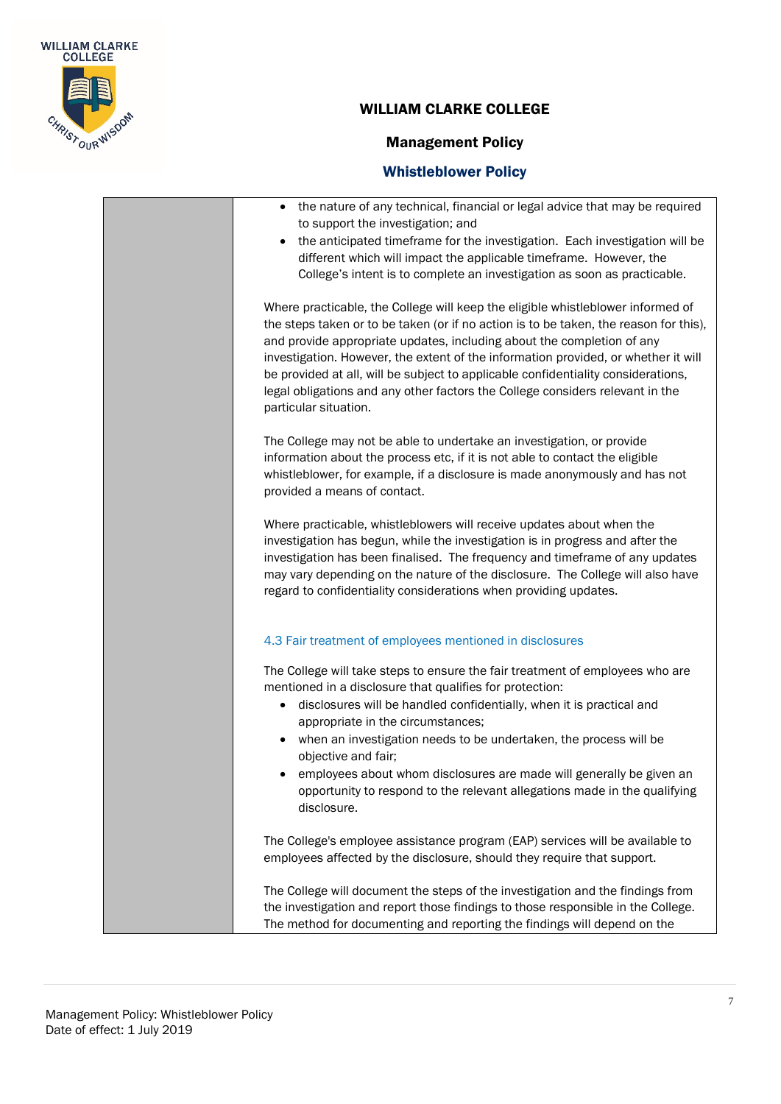

п

### WILLIAM CLARKE COLLEGE

## Management Policy

| the nature of any technical, financial or legal advice that may be required<br>to support the investigation; and<br>the anticipated timeframe for the investigation. Each investigation will be<br>different which will impact the applicable timeframe. However, the<br>College's intent is to complete an investigation as soon as practicable.                                                                                                                                                                                                |
|--------------------------------------------------------------------------------------------------------------------------------------------------------------------------------------------------------------------------------------------------------------------------------------------------------------------------------------------------------------------------------------------------------------------------------------------------------------------------------------------------------------------------------------------------|
| Where practicable, the College will keep the eligible whistleblower informed of<br>the steps taken or to be taken (or if no action is to be taken, the reason for this),<br>and provide appropriate updates, including about the completion of any<br>investigation. However, the extent of the information provided, or whether it will<br>be provided at all, will be subject to applicable confidentiality considerations,<br>legal obligations and any other factors the College considers relevant in the<br>particular situation.          |
| The College may not be able to undertake an investigation, or provide<br>information about the process etc, if it is not able to contact the eligible<br>whistleblower, for example, if a disclosure is made anonymously and has not<br>provided a means of contact.                                                                                                                                                                                                                                                                             |
| Where practicable, whistleblowers will receive updates about when the<br>investigation has begun, while the investigation is in progress and after the<br>investigation has been finalised. The frequency and timeframe of any updates<br>may vary depending on the nature of the disclosure. The College will also have<br>regard to confidentiality considerations when providing updates.                                                                                                                                                     |
| 4.3 Fair treatment of employees mentioned in disclosures                                                                                                                                                                                                                                                                                                                                                                                                                                                                                         |
| The College will take steps to ensure the fair treatment of employees who are<br>mentioned in a disclosure that qualifies for protection:<br>disclosures will be handled confidentially, when it is practical and<br>$\bullet$<br>appropriate in the circumstances;<br>when an investigation needs to be undertaken, the process will be<br>$\bullet$<br>objective and fair;<br>employees about whom disclosures are made will generally be given an<br>opportunity to respond to the relevant allegations made in the qualifying<br>disclosure. |
| The College's employee assistance program (EAP) services will be available to<br>employees affected by the disclosure, should they require that support.                                                                                                                                                                                                                                                                                                                                                                                         |
| The College will document the steps of the investigation and the findings from<br>the investigation and report those findings to those responsible in the College.<br>The method for documenting and reporting the findings will depend on the                                                                                                                                                                                                                                                                                                   |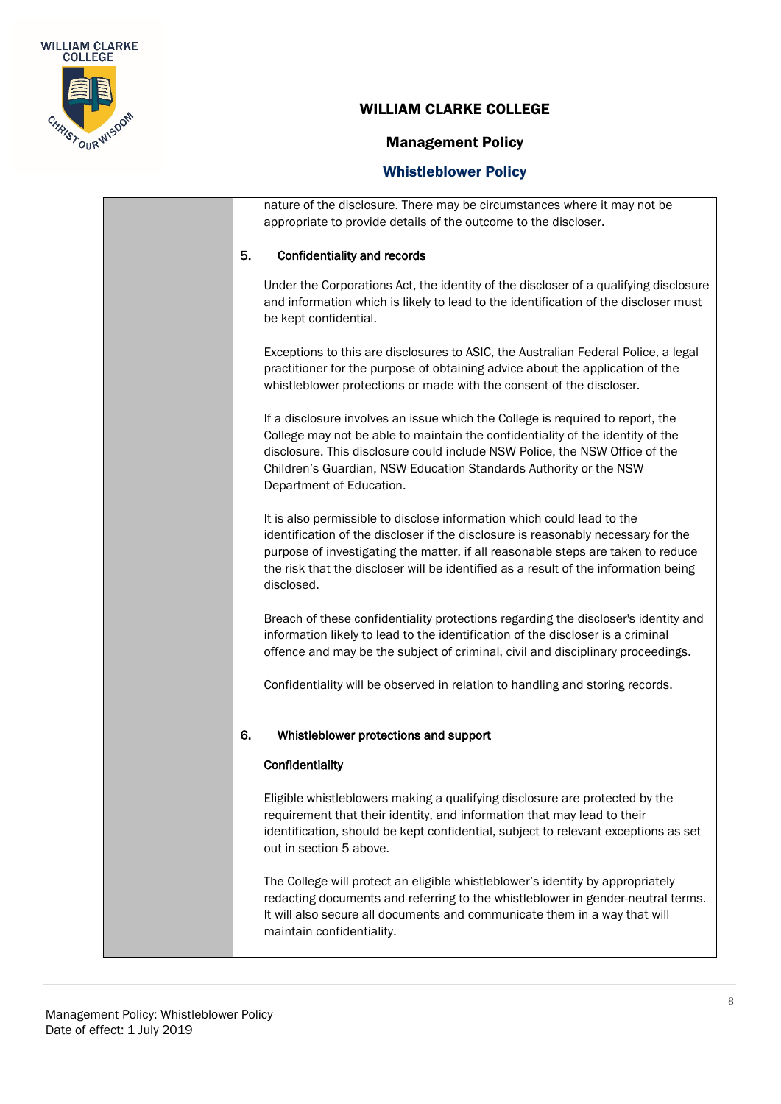

## Management Policy

|    | nature of the disclosure. There may be circumstances where it may not be<br>appropriate to provide details of the outcome to the discloser.                                                                                                                                                                                                          |
|----|------------------------------------------------------------------------------------------------------------------------------------------------------------------------------------------------------------------------------------------------------------------------------------------------------------------------------------------------------|
| 5. | <b>Confidentiality and records</b>                                                                                                                                                                                                                                                                                                                   |
|    | Under the Corporations Act, the identity of the discloser of a qualifying disclosure<br>and information which is likely to lead to the identification of the discloser must<br>be kept confidential.                                                                                                                                                 |
|    | Exceptions to this are disclosures to ASIC, the Australian Federal Police, a legal<br>practitioner for the purpose of obtaining advice about the application of the<br>whistleblower protections or made with the consent of the discloser.                                                                                                          |
|    | If a disclosure involves an issue which the College is required to report, the<br>College may not be able to maintain the confidentiality of the identity of the<br>disclosure. This disclosure could include NSW Police, the NSW Office of the<br>Children's Guardian, NSW Education Standards Authority or the NSW<br>Department of Education.     |
|    | It is also permissible to disclose information which could lead to the<br>identification of the discloser if the disclosure is reasonably necessary for the<br>purpose of investigating the matter, if all reasonable steps are taken to reduce<br>the risk that the discloser will be identified as a result of the information being<br>disclosed. |
|    | Breach of these confidentiality protections regarding the discloser's identity and<br>information likely to lead to the identification of the discloser is a criminal<br>offence and may be the subject of criminal, civil and disciplinary proceedings.                                                                                             |
|    | Confidentiality will be observed in relation to handling and storing records.                                                                                                                                                                                                                                                                        |
| 6. | Whistleblower protections and support                                                                                                                                                                                                                                                                                                                |
|    | Confidentiality                                                                                                                                                                                                                                                                                                                                      |
|    | Eligible whistleblowers making a qualifying disclosure are protected by the<br>requirement that their identity, and information that may lead to their<br>identification, should be kept confidential, subject to relevant exceptions as set<br>out in section 5 above.                                                                              |
|    | The College will protect an eligible whistleblower's identity by appropriately<br>redacting documents and referring to the whistleblower in gender-neutral terms.<br>It will also secure all documents and communicate them in a way that will<br>maintain confidentiality.                                                                          |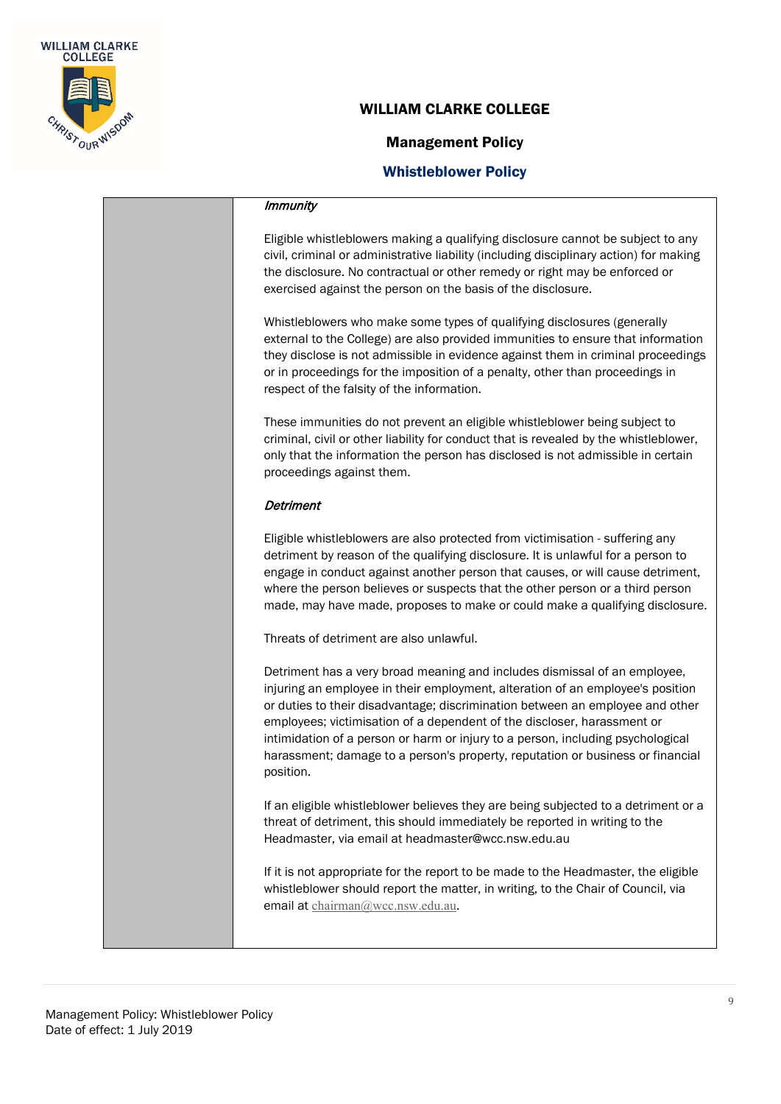

#### Management Policy

#### Whistleblower Policy

#### Immunity

Eligible whistleblowers making a qualifying disclosure cannot be subject to any civil, criminal or administrative liability (including disciplinary action) for making the disclosure. No contractual or other remedy or right may be enforced or exercised against the person on the basis of the disclosure.

Whistleblowers who make some types of qualifying disclosures (generally external to the College) are also provided immunities to ensure that information they disclose is not admissible in evidence against them in criminal proceedings or in proceedings for the imposition of a penalty, other than proceedings in respect of the falsity of the information.

These immunities do not prevent an eligible whistleblower being subject to criminal, civil or other liability for conduct that is revealed by the whistleblower, only that the information the person has disclosed is not admissible in certain proceedings against them.

#### **Detriment**

Eligible whistleblowers are also protected from victimisation - suffering any detriment by reason of the qualifying disclosure. It is unlawful for a person to engage in conduct against another person that causes, or will cause detriment, where the person believes or suspects that the other person or a third person made, may have made, proposes to make or could make a qualifying disclosure.

Threats of detriment are also unlawful.

Detriment has a very broad meaning and includes dismissal of an employee, injuring an employee in their employment, alteration of an employee's position or duties to their disadvantage; discrimination between an employee and other employees; victimisation of a dependent of the discloser, harassment or intimidation of a person or harm or injury to a person, including psychological harassment; damage to a person's property, reputation or business or financial position.

If an eligible whistleblower believes they are being subjected to a detriment or a threat of detriment, this should immediately be reported in writing to the Headmaster, via email at [headmaster@wcc.nsw.edu.au](mailto:headmaster@wcc.nsw.edu.au)

If it is not appropriate for the report to be made to the Headmaster, the eligible whistleblower should report the matter, in writing, to the Chair of Council, via email at [chairman@wcc.nsw.edu.au](mailto:chairman@wcc.nsw.edu.au).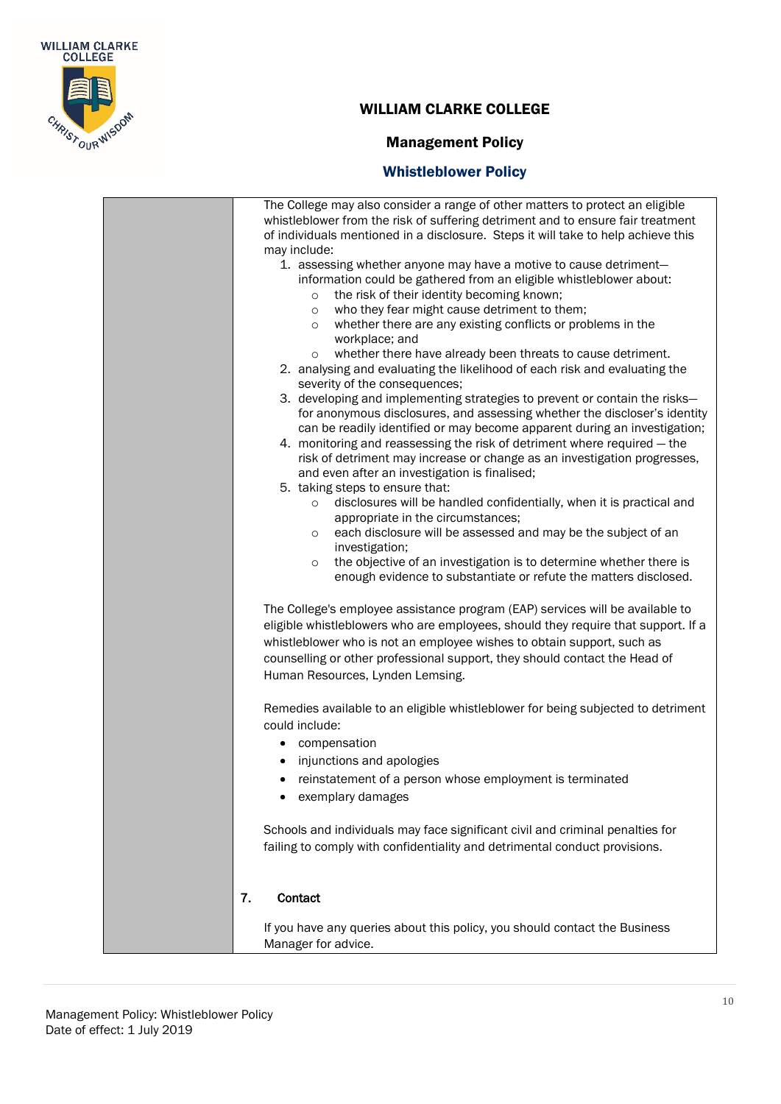

### Management Policy

| The College may also consider a range of other matters to protect an eligible<br>whistleblower from the risk of suffering detriment and to ensure fair treatment<br>of individuals mentioned in a disclosure. Steps it will take to help achieve this<br>may include: |
|-----------------------------------------------------------------------------------------------------------------------------------------------------------------------------------------------------------------------------------------------------------------------|
| 1. assessing whether anyone may have a motive to cause detriment-                                                                                                                                                                                                     |
| information could be gathered from an eligible whistleblower about:                                                                                                                                                                                                   |
| the risk of their identity becoming known;<br>$\circ$                                                                                                                                                                                                                 |
| who they fear might cause detriment to them;<br>$\circ$<br>whether there are any existing conflicts or problems in the                                                                                                                                                |
| $\circ$<br>workplace; and                                                                                                                                                                                                                                             |
| whether there have already been threats to cause detriment.<br>$\circ$                                                                                                                                                                                                |
| 2. analysing and evaluating the likelihood of each risk and evaluating the                                                                                                                                                                                            |
| severity of the consequences;                                                                                                                                                                                                                                         |
| 3. developing and implementing strategies to prevent or contain the risks-                                                                                                                                                                                            |
| for anonymous disclosures, and assessing whether the discloser's identity                                                                                                                                                                                             |
| can be readily identified or may become apparent during an investigation;                                                                                                                                                                                             |
| 4. monitoring and reassessing the risk of detriment where required - the                                                                                                                                                                                              |
| risk of detriment may increase or change as an investigation progresses,<br>and even after an investigation is finalised;                                                                                                                                             |
| 5. taking steps to ensure that:                                                                                                                                                                                                                                       |
| disclosures will be handled confidentially, when it is practical and<br>$\circ$                                                                                                                                                                                       |
| appropriate in the circumstances;                                                                                                                                                                                                                                     |
| each disclosure will be assessed and may be the subject of an<br>$\circ$                                                                                                                                                                                              |
| investigation;                                                                                                                                                                                                                                                        |
| the objective of an investigation is to determine whether there is<br>$\circ$                                                                                                                                                                                         |
| enough evidence to substantiate or refute the matters disclosed.                                                                                                                                                                                                      |
| The College's employee assistance program (EAP) services will be available to                                                                                                                                                                                         |
| eligible whistleblowers who are employees, should they require that support. If a                                                                                                                                                                                     |
| whistleblower who is not an employee wishes to obtain support, such as                                                                                                                                                                                                |
| counselling or other professional support, they should contact the Head of                                                                                                                                                                                            |
| Human Resources, Lynden Lemsing.                                                                                                                                                                                                                                      |
| Remedies available to an eligible whistleblower for being subjected to detriment<br>could include:                                                                                                                                                                    |
| compensation<br>$\bullet$                                                                                                                                                                                                                                             |
| injunctions and apologies                                                                                                                                                                                                                                             |
|                                                                                                                                                                                                                                                                       |
| • reinstatement of a person whose employment is terminated                                                                                                                                                                                                            |
| exemplary damages                                                                                                                                                                                                                                                     |
| Schools and individuals may face significant civil and criminal penalties for                                                                                                                                                                                         |
| failing to comply with confidentiality and detrimental conduct provisions.                                                                                                                                                                                            |
| 7.<br>Contact                                                                                                                                                                                                                                                         |
| If you have any queries about this policy, you should contact the Business                                                                                                                                                                                            |
| Manager for advice.                                                                                                                                                                                                                                                   |